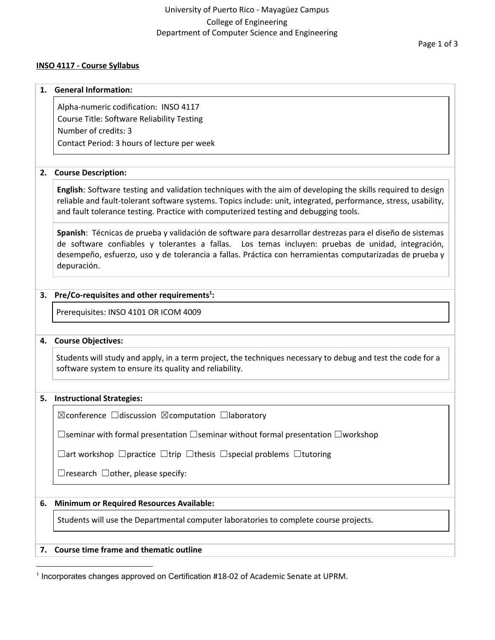#### **INSO 4117 - Course Syllabus**

#### Page 1 of 3

# **1. General Information:** Alpha-numeric codification: INSO 4117

Course Title: Software Reliability Testing Number of credits: 3 Contact Period: 3 hours of lecture per week

### **2. Course Description:**

**English**: Software testing and validation techniques with the aim of developing the skills required to design reliable and fault-tolerant software systems. Topics include: unit, integrated, performance, stress, usability, and fault tolerance testing. Practice with computerized testing and debugging tools.

**Spanish**: Técnicas de prueba y validación de software para desarrollar destrezas para el diseño de sistemas de software confiables y tolerantes a fallas. Los temas incluyen: pruebas de unidad, integración, desempeño, esfuerzo, uso y de tolerancia a fallas. Práctica con herramientas computarizadas de prueba y depuración.

### **3. Pre/Co-requisites and other requirements : 1**

Prerequisites: INSO 4101 OR ICOM 4009

### **4. Course Objectives:**

Students will study and apply, in a term project, the techniques necessary to debug and test the code for a software system to ensure its quality and reliability.

### **5. Instructional Strategies:**

☒conference ☐discussion ☒computation ☐laboratory

☐seminar with formal presentation ☐seminar without formal presentation ☐workshop

☐art workshop ☐practice ☐trip ☐thesis ☐special problems ☐tutoring

 $\Box$ research  $\Box$ other, please specify:

## **6. Minimum or Required Resources Available:**

Students will use the Departmental computer laboratories to complete course projects.

### **7. Course time frame and thematic outline**

<sup>1</sup> Incorporates changes approved on Certification #18-02 of Academic Senate at UPRM.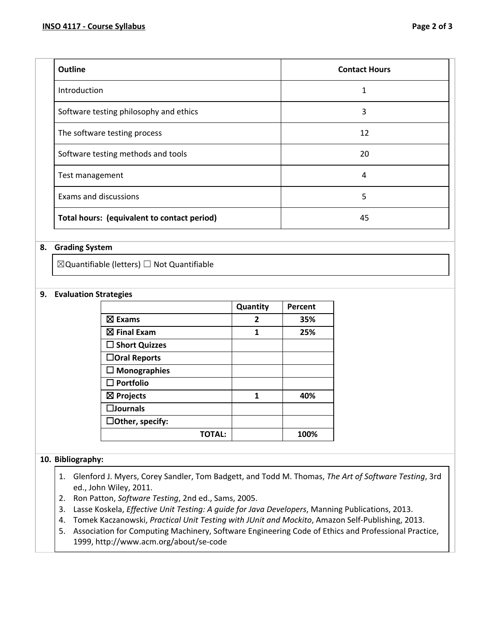| <b>Outline</b>                              | <b>Contact Hours</b> |
|---------------------------------------------|----------------------|
| Introduction                                | 1                    |
| Software testing philosophy and ethics      | 3                    |
| The software testing process                | 12                   |
| Software testing methods and tools          | 20                   |
| Test management                             | 4                    |
| <b>Exams and discussions</b>                | 5                    |
| Total hours: (equivalent to contact period) | 45                   |

#### **8. Grading System**

☒Quantifiable (letters) ☐ Not Quantifiable

#### **9. Evaluation Strategies**

|                         | Quantity | Percent |
|-------------------------|----------|---------|
| $\boxtimes$ Exams       | 2        | 35%     |
| $\boxtimes$ Final Exam  | 1        | 25%     |
| $\square$ Short Quizzes |          |         |
| $\Box$ Oral Reports     |          |         |
| $\Box$ Monographies     |          |         |
| $\square$ Portfolio     |          |         |
| $\boxtimes$ Projects    | 1        | 40%     |
| $\Box$ Journals         |          |         |
| $\Box$ Other, specify:  |          |         |
| TOTAL:                  |          | 100%    |

### **10. Bibliography:**

- 1. Glenford J. Myers, Corey Sandler, Tom Badgett, and Todd M. Thomas, *The Art of Software Testing*, 3rd ed., John Wiley, 2011.
- 2. Ron Patton, *Software Testing*, 2nd ed., Sams, 2005.
- 3. Lasse Koskela, *Effective Unit Testing: A guide for Java Developers*, Manning Publications, 2013.
- 4. Tomek Kaczanowski, *Practical Unit Testing with JUnit and Mockito*, Amazon Self-Publishing, 2013.
- 5. Association for Computing Machinery, Software Engineering Code of Ethics and Professional Practice, 1999, http://www.acm.org/about/se-code